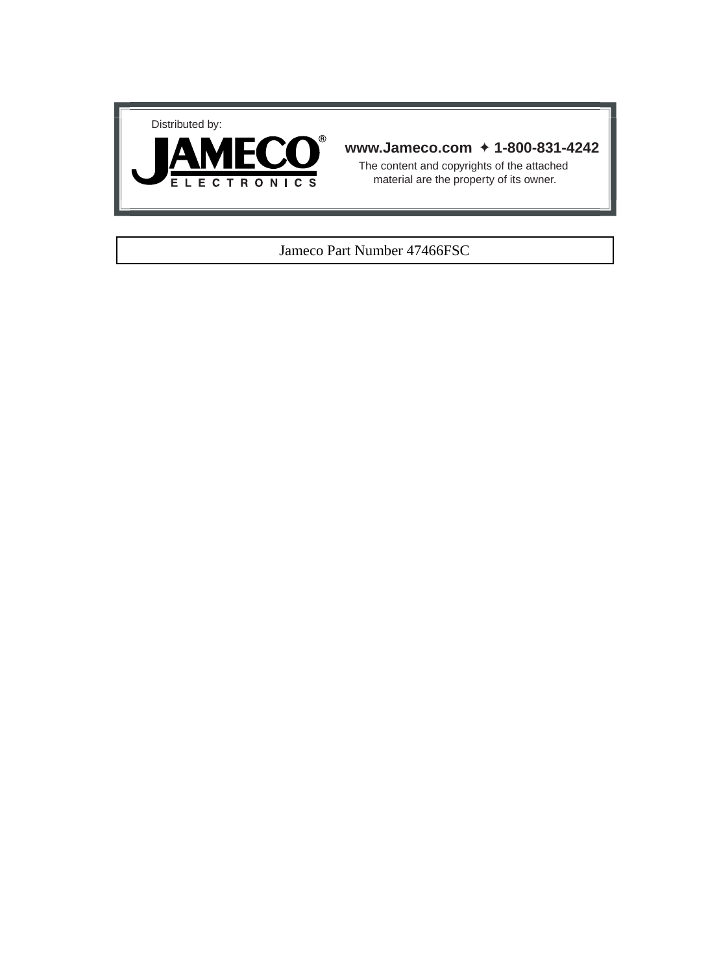



# **www.Jameco.com** ✦ **1-800-831-4242**

The content and copyrights of the attached material are the property of its owner.

### Jameco Part Number 47466FSC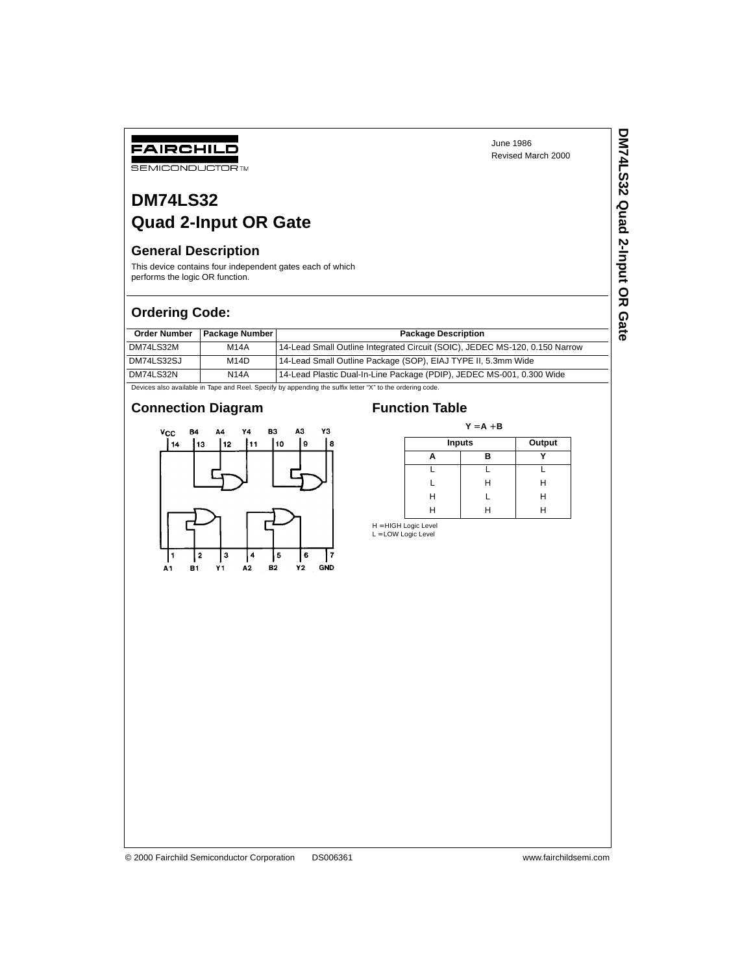**DM74LS32 Quad 2-Input OR Gate**

DM74LS32 Quad 2-Input OR Gate

# **DM74LS32 Quad 2-Input OR Gate**

# **General Description**

FAIRCHILD **SEMICONDUCTOR TM** 

This device contains four independent gates each of which performs the logic OR function.

# **Ordering Code:**

|            | Order Number   Package Number | <b>Package Description</b>                                                  |
|------------|-------------------------------|-----------------------------------------------------------------------------|
| DM74LS32M  | M14A                          | 14-Lead Small Outline Integrated Circuit (SOIC), JEDEC MS-120, 0.150 Narrow |
| DM74LS32SJ | M14D                          | 14-Lead Small Outline Package (SOP), EIAJ TYPE II, 5.3mm Wide               |
| DM74LS32N  | <b>N14A</b>                   | 14-Lead Plastic Dual-In-Line Package (PDIP), JEDEC MS-001, 0.300 Wide       |

Devices also available in Tape and Reel. Specify by appending the suffix letter "X" to the ordering code.

# **Connection Diagram Function Table**



 $Y = A + B$ 

| Inputs |   | Output |  |  |
|--------|---|--------|--|--|
|        | в |        |  |  |
|        |   |        |  |  |
|        | н | Н      |  |  |
| н      |   | Н      |  |  |
|        |   |        |  |  |

H = HIGH Logic Level<br>L = LOW Logic Level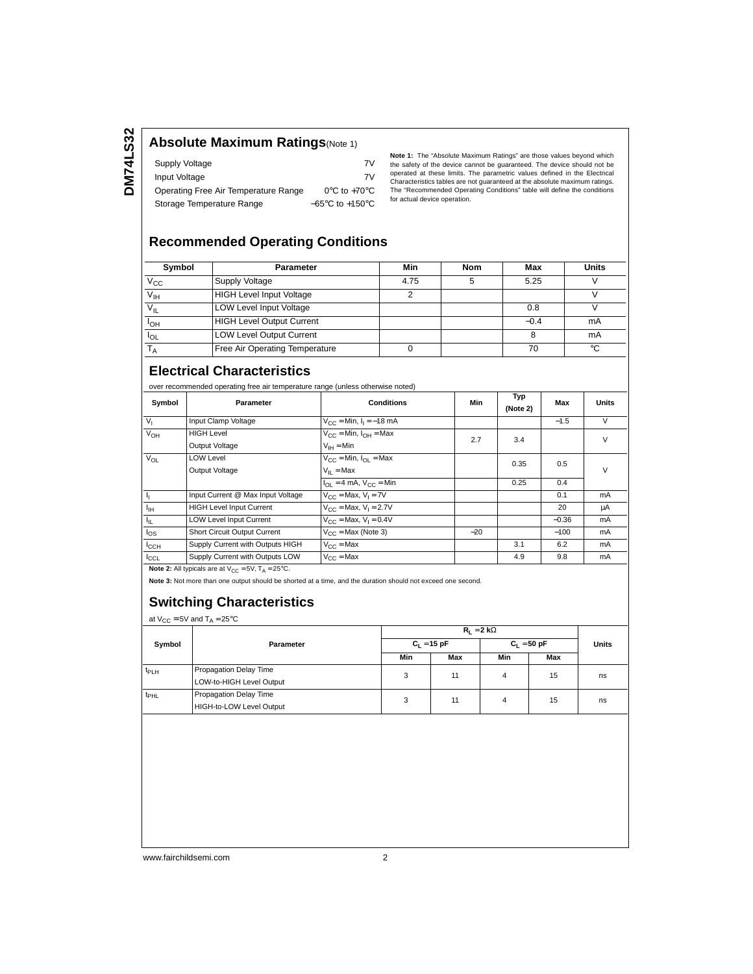# **Absolute Maximum Ratings**(Note 1)

| Supply Voltage                       | 7V                                  |
|--------------------------------------|-------------------------------------|
| Input Voltage                        | 7V                                  |
| Operating Free Air Temperature Range | $0^{\circ}$ C to +70 $^{\circ}$ C   |
| Storage Temperature Range            | $-65^{\circ}$ C to $+150^{\circ}$ C |

**Note 1:** The "Absolute Maximum Ratings" are those values beyond which<br>the safety of the device cannot be guaranteed. The device should not be<br>operated at these limits. The parametric values defined in the Electrical Characteristics tables are not guaranteed at the absolute maximum ratings. The "Recommended Operating Conditions" table will define the conditions for actual device operation.

### **Recommended Operating Conditions**

| Symbol                 | <b>Parameter</b>                 | Min  | Nom | Max    | <b>Units</b> |
|------------------------|----------------------------------|------|-----|--------|--------------|
| $\overline{V_{CC}}$    | <b>Supply Voltage</b>            | 4.75 |     | 5.25   |              |
| $V_{\text{IH}}$        | <b>HIGH Level Input Voltage</b>  |      |     |        |              |
| $V_{IL}$               | <b>LOW Level Input Voltage</b>   |      |     | 0.8    |              |
| <b>I</b> <sub>OH</sub> | <b>HIGH Level Output Current</b> |      |     | $-0.4$ | mA           |
| $I_{OL}$               | <b>LOW Level Output Current</b>  |      |     |        | mA           |
|                        | Free Air Operating Temperature   |      |     | 70     | °C           |

# **Electrical Characteristics**

over recommended operating free air temperature range (unless otherwise noted)

| Symbol           | Parameter                                                                | <b>Conditions</b>                                             | Min   | Typ<br>(Note 2) | Max     | Units  |
|------------------|--------------------------------------------------------------------------|---------------------------------------------------------------|-------|-----------------|---------|--------|
| V <sub>1</sub>   | Input Clamp Voltage                                                      | $V_{CC}$ = Min, $I_1$ = -18 mA                                |       |                 | $-1.5$  | V      |
| $V_{OH}$         | <b>HIGH Level</b>                                                        | $V_{CC}$ = Min, $I_{OH}$ = Max                                | 2.7   | 3.4             |         | $\vee$ |
|                  | Output Voltage                                                           | $V_{IH} = Min$                                                |       |                 |         |        |
| $V_{OL}$         | <b>LOW Level</b>                                                         | $V_{CC}$ = Min, $I_{OL}$ = Max                                |       | 0.35            | 0.5     | $\vee$ |
|                  | Output Voltage                                                           | $V_{II}$ = Max                                                |       |                 |         |        |
|                  |                                                                          | $I_{\text{OL}} = 4 \text{ mA}$ , $V_{\text{CC}} = \text{Min}$ |       | 0.25            | 0.4     |        |
| 4                | Input Current @ Max Input Voltage                                        | $V_{\text{CC}}$ = Max, $V_{\text{I}}$ = 7V                    |       |                 | 0.1     | mA     |
| $I_{\rm IH}$     | <b>HIGH Level Input Current</b>                                          | $V_{CC}$ = Max, $V_1$ = 2.7V                                  |       |                 | 20      | μA     |
| ŀμ               | <b>LOW Level Input Current</b>                                           | $V_{CC}$ = Max, $V_1$ = 0.4V                                  |       |                 | $-0.36$ | mA     |
| $I_{OS}$         | Short Circuit Output Current                                             | $V_{\text{CC}}$ = Max (Note 3)                                | $-20$ |                 | $-100$  | mA     |
| $I_{\text{CCH}}$ | Supply Current with Outputs HIGH                                         | $V_{CC}$ = Max                                                |       | 3.1             | 6.2     | mA     |
| $I_{CCL}$        | Supply Current with Outputs LOW                                          | $V_{C}C = Max$                                                |       | 4.9             | 9.8     | mA     |
|                  | <b>Note 2:</b> All typicals are at $V_{CC} = 5V$ , $T_A = 25^{\circ}C$ . |                                                               |       |                 |         |        |

**Note 3:** Not more than one output should be shorted at a time, and the duration should not exceed one second.

# **Switching Characteristics**

at  $V_{CC} = 5V$  and  $T_A = 25^{\circ}C$ 

| Symbol           | <b>Parameter</b>         |               |     |               |     |              |
|------------------|--------------------------|---------------|-----|---------------|-----|--------------|
|                  |                          | $C_1 = 15 pF$ |     | $C_1 = 50 pF$ |     | <b>Units</b> |
|                  |                          | Min           | Max | Min           | Max |              |
| $t_{PLH}$        | Propagation Delay Time   | 3             | 11  | 4             | 15  | ns           |
|                  | LOW-to-HIGH Level Output |               |     |               |     |              |
| t <sub>PHL</sub> | Propagation Delay Time   | 3             | 11  | 4             | 15  | ns           |
|                  | HIGH-to-LOW Level Output |               |     |               |     |              |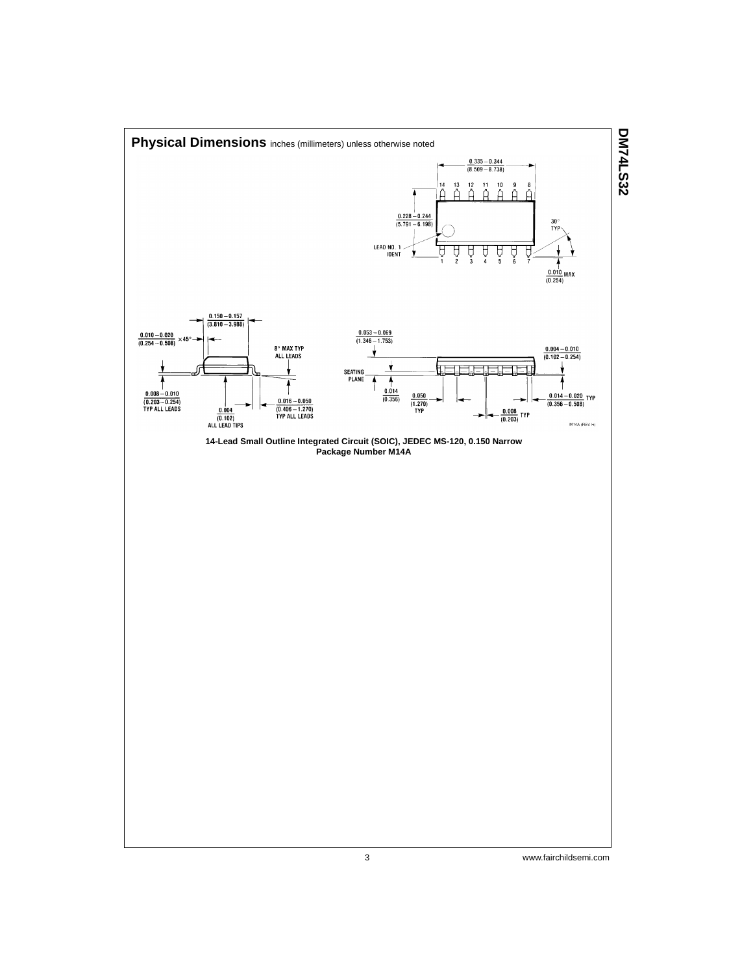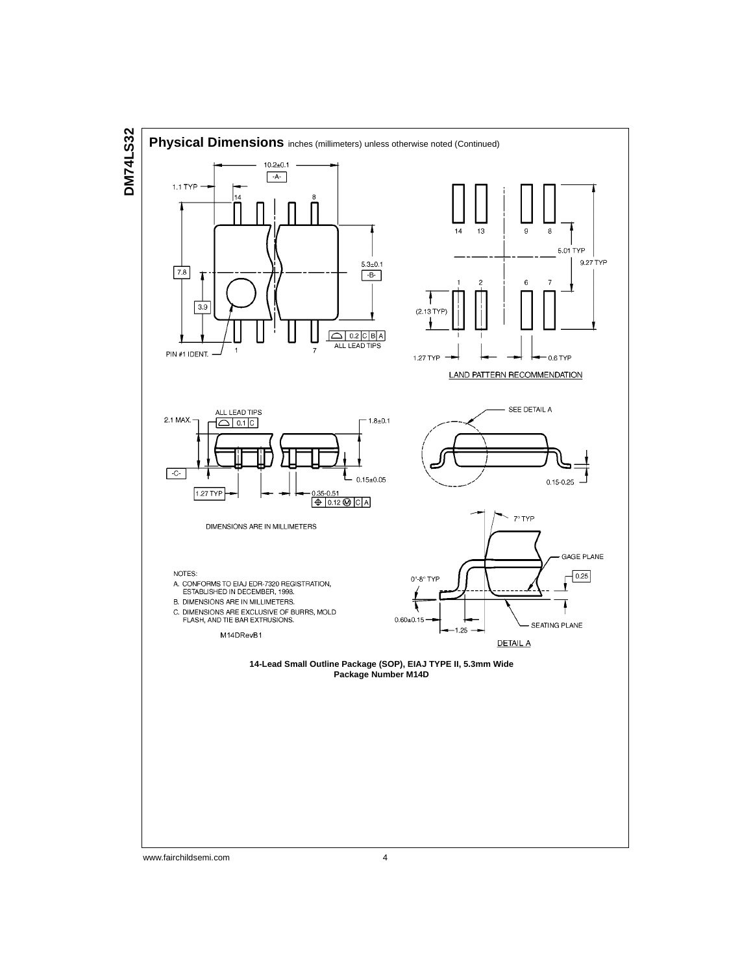